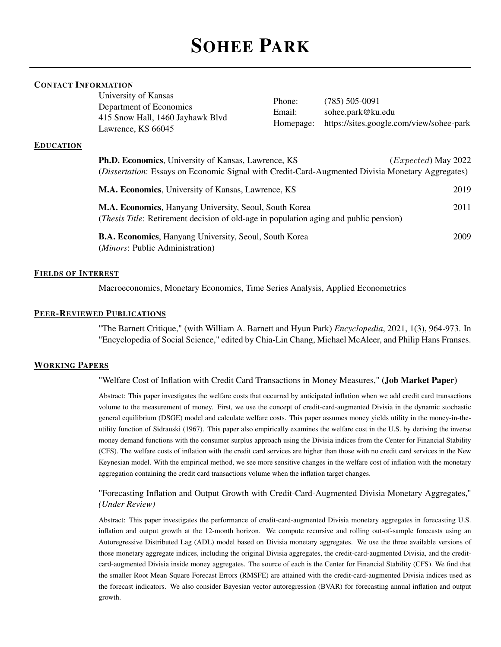# SOHEE PARK

#### CONTACT INFORMATION

| University of Kansas             | Phone:    | $(785)$ 505-0091                         |
|----------------------------------|-----------|------------------------------------------|
| Department of Economics          |           |                                          |
|                                  | Email:    | sohee.park@ku.edu                        |
| 415 Snow Hall, 1460 Jayhawk Blvd | Homepage: | https://sites.google.com/view/sohee-park |
| Lawrence, KS 66045               |           |                                          |

#### **EDUCATION**

| <b>Ph.D. Economics</b> , University of Kansas, Lawrence, KS                                                                                              | $(Expected)$ May 2022 |
|----------------------------------------------------------------------------------------------------------------------------------------------------------|-----------------------|
| (Dissertation: Essays on Economic Signal with Credit-Card-Augmented Divisia Monetary Aggregates)                                                         |                       |
| M.A. Economics, University of Kansas, Lawrence, KS                                                                                                       | 2019                  |
| M.A. Economics, Hanyang University, Seoul, South Korea<br>( <i>Thesis Title</i> : Retirement decision of old-age in population aging and public pension) | 2011                  |
| <b>B.A. Economics, Hanyang University, Seoul, South Korea</b><br>( <i>Minors</i> : Public Administration)                                                | 2009                  |

#### FIELDS OF INTEREST

Macroeconomics, Monetary Economics, Time Series Analysis, Applied Econometrics

#### PEER-REVIEWED PUBLICATIONS

"The Barnett Critique," (with William A. Barnett and Hyun Park) *Encyclopedia*, 2021, 1(3), 964-973. In "Encyclopedia of Social Science," edited by Chia-Lin Chang, Michael McAleer, and Philip Hans Franses.

#### WORKING PAPERS

#### "Welfare Cost of Inflation with Credit Card Transactions in Money Measures," (Job Market Paper)

Abstract: This paper investigates the welfare costs that occurred by anticipated inflation when we add credit card transactions volume to the measurement of money. First, we use the concept of credit-card-augmented Divisia in the dynamic stochastic general equilibrium (DSGE) model and calculate welfare costs. This paper assumes money yields utility in the money-in-theutility function of Sidrauski (1967). This paper also empirically examines the welfare cost in the U.S. by deriving the inverse money demand functions with the consumer surplus approach using the Divisia indices from the Center for Financial Stability (CFS). The welfare costs of inflation with the credit card services are higher than those with no credit card services in the New Keynesian model. With the empirical method, we see more sensitive changes in the welfare cost of inflation with the monetary aggregation containing the credit card transactions volume when the inflation target changes.

# "Forecasting Inflation and Output Growth with Credit-Card-Augmented Divisia Monetary Aggregates," *(Under Review)*

Abstract: This paper investigates the performance of credit-card-augmented Divisia monetary aggregates in forecasting U.S. inflation and output growth at the 12-month horizon. We compute recursive and rolling out-of-sample forecasts using an Autoregressive Distributed Lag (ADL) model based on Divisia monetary aggregates. We use the three available versions of those monetary aggregate indices, including the original Divisia aggregates, the credit-card-augmented Divisia, and the creditcard-augmented Divisia inside money aggregates. The source of each is the Center for Financial Stability (CFS). We find that the smaller Root Mean Square Forecast Errors (RMSFE) are attained with the credit-card-augmented Divisia indices used as the forecast indicators. We also consider Bayesian vector autoregression (BVAR) for forecasting annual inflation and output growth.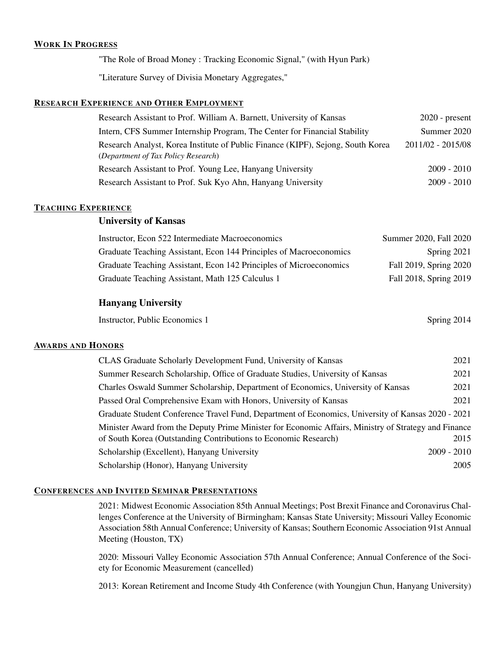# WORK IN PROGRESS

"The Role of Broad Money : Tracking Economic Signal," (with Hyun Park)

"Literature Survey of Divisia Monetary Aggregates,"

#### RESEARCH EXPERIENCE AND OTHER EMPLOYMENT

| Research Assistant to Prof. William A. Barnett, University of Kansas            | $2020$ - present  |
|---------------------------------------------------------------------------------|-------------------|
| Intern, CFS Summer Internship Program, The Center for Financial Stability       | Summer 2020       |
| Research Analyst, Korea Institute of Public Finance (KIPF), Sejong, South Korea | 2011/02 - 2015/08 |
| (Department of Tax Policy Research)                                             |                   |
| Research Assistant to Prof. Young Lee, Hanyang University                       | $2009 - 2010$     |
| Research Assistant to Prof. Suk Kyo Ahn, Hanyang University                     | $2009 - 2010$     |

# TEACHING EXPERIENCE

#### University of Kansas

| Instructor, Econ 522 Intermediate Macroeconomics                   | Summer 2020, Fall 2020 |
|--------------------------------------------------------------------|------------------------|
| Graduate Teaching Assistant, Econ 144 Principles of Macroeconomics | Spring 2021            |
| Graduate Teaching Assistant, Econ 142 Principles of Microeconomics | Fall 2019, Spring 2020 |
| Graduate Teaching Assistant, Math 125 Calculus 1                   | Fall 2018, Spring 2019 |

# Hanyang University

Instructor, Public Economics 1 Spring 2014

# AWARDS AND HONORS

| CLAS Graduate Scholarly Development Fund, University of Kansas                                       | 2021          |
|------------------------------------------------------------------------------------------------------|---------------|
| Summer Research Scholarship, Office of Graduate Studies, University of Kansas                        | 2021          |
| Charles Oswald Summer Scholarship, Department of Economics, University of Kansas                     | 2021          |
| Passed Oral Comprehensive Exam with Honors, University of Kansas                                     | 2021          |
| Graduate Student Conference Travel Fund, Department of Economics, University of Kansas 2020 - 2021   |               |
| Minister Award from the Deputy Prime Minister for Economic Affairs, Ministry of Strategy and Finance |               |
| of South Korea (Outstanding Contributions to Economic Research)                                      | 2015          |
| Scholarship (Excellent), Hanyang University                                                          | $2009 - 2010$ |
| Scholarship (Honor), Hanyang University                                                              | 2005          |
|                                                                                                      |               |

#### CONFERENCES AND INVITED SEMINAR PRESENTATIONS

2021: Midwest Economic Association 85th Annual Meetings; Post Brexit Finance and Coronavirus Challenges Conference at the University of Birmingham; Kansas State University; Missouri Valley Economic Association 58th Annual Conference; University of Kansas; Southern Economic Association 91st Annual Meeting (Houston, TX)

2020: Missouri Valley Economic Association 57th Annual Conference; Annual Conference of the Society for Economic Measurement (cancelled)

2013: Korean Retirement and Income Study 4th Conference (with Youngjun Chun, Hanyang University)